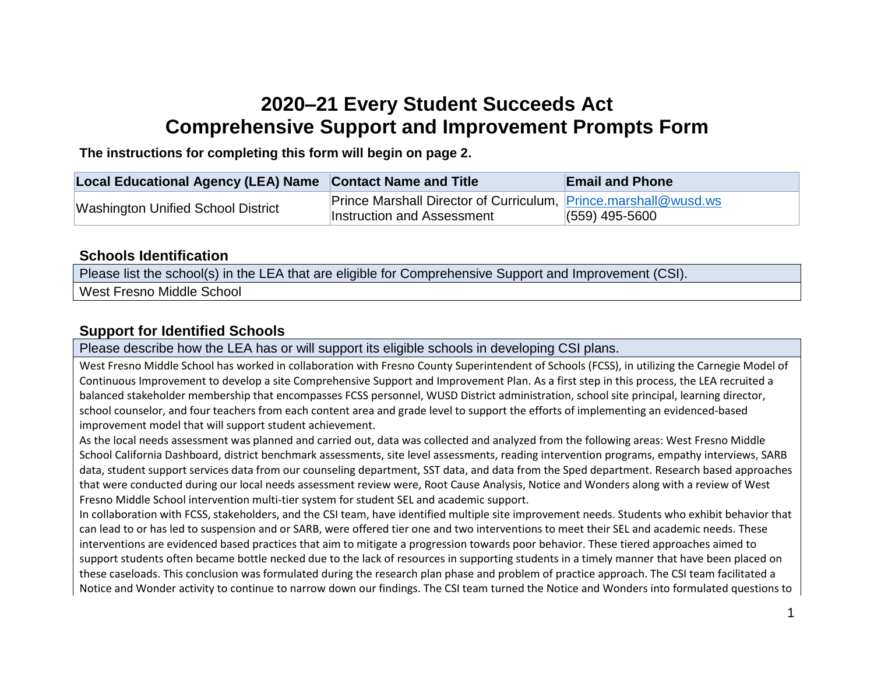## **2020–21 Every Student Succeeds Act Comprehensive Support and Improvement Prompts Form**

**The instructions for completing this form will begin on page 2.**

| Local Educational Agency (LEA) Name Contact Name and Title |                                                                 | <b>Email and Phone</b> |
|------------------------------------------------------------|-----------------------------------------------------------------|------------------------|
| <b>Washington Unified School District</b>                  | Prince Marshall Director of Curriculum, Prince marshall@wusd.ws |                        |
|                                                            | Instruction and Assessment                                      | $(559)$ 495-5600       |

#### **Schools Identification**

Please list the school(s) in the LEA that are eligible for Comprehensive Support and Improvement (CSI). West Fresno Middle School

### **Support for Identified Schools**

Please describe how the LEA has or will support its eligible schools in developing CSI plans.

West Fresno Middle School has worked in collaboration with Fresno County Superintendent of Schools (FCSS), in utilizing the Carnegie Model of Continuous Improvement to develop a site Comprehensive Support and Improvement Plan. As a first step in this process, the LEA recruited a balanced stakeholder membership that encompasses FCSS personnel, WUSD District administration, school site principal, learning director, school counselor, and four teachers from each content area and grade level to support the efforts of implementing an evidenced-based improvement model that will support student achievement.

As the local needs assessment was planned and carried out, data was collected and analyzed from the following areas: West Fresno Middle School California Dashboard, district benchmark assessments, site level assessments, reading intervention programs, empathy interviews, SARB data, student support services data from our counseling department, SST data, and data from the Sped department. Research based approaches that were conducted during our local needs assessment review were, Root Cause Analysis, Notice and Wonders along with a review of West Fresno Middle School intervention multi-tier system for student SEL and academic support.

In collaboration with FCSS, stakeholders, and the CSI team, have identified multiple site improvement needs. Students who exhibit behavior that can lead to or has led to suspension and or SARB, were offered tier one and two interventions to meet their SEL and academic needs. These interventions are evidenced based practices that aim to mitigate a progression towards poor behavior. These tiered approaches aimed to support students often became bottle necked due to the lack of resources in supporting students in a timely manner that have been placed on these caseloads. This conclusion was formulated during the research plan phase and problem of practice approach. The CSI team facilitated a Notice and Wonder activity to continue to narrow down our findings. The CSI team turned the Notice and Wonders into formulated questions to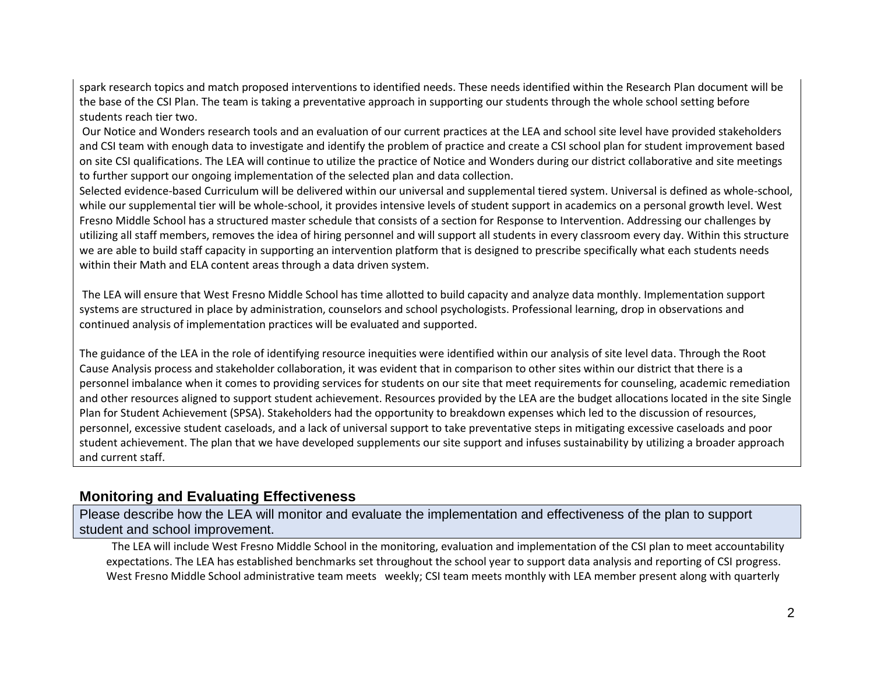spark research topics and match proposed interventions to identified needs. These needs identified within the Research Plan document will be the base of the CSI Plan. The team is taking a preventative approach in supporting our students through the whole school setting before students reach tier two.

Our Notice and Wonders research tools and an evaluation of our current practices at the LEA and school site level have provided stakeholders and CSI team with enough data to investigate and identify the problem of practice and create a CSI school plan for student improvement based on site CSI qualifications. The LEA will continue to utilize the practice of Notice and Wonders during our district collaborative and site meetings to further support our ongoing implementation of the selected plan and data collection.

Selected evidence-based Curriculum will be delivered within our universal and supplemental tiered system. Universal is defined as whole-school, while our supplemental tier will be whole-school, it provides intensive levels of student support in academics on a personal growth level. West Fresno Middle School has a structured master schedule that consists of a section for Response to Intervention. Addressing our challenges by utilizing all staff members, removes the idea of hiring personnel and will support all students in every classroom every day. Within this structure we are able to build staff capacity in supporting an intervention platform that is designed to prescribe specifically what each students needs within their Math and ELA content areas through a data driven system.

The LEA will ensure that West Fresno Middle School has time allotted to build capacity and analyze data monthly. Implementation support systems are structured in place by administration, counselors and school psychologists. Professional learning, drop in observations and continued analysis of implementation practices will be evaluated and supported.

The guidance of the LEA in the role of identifying resource inequities were identified within our analysis of site level data. Through the Root Cause Analysis process and stakeholder collaboration, it was evident that in comparison to other sites within our district that there is a personnel imbalance when it comes to providing services for students on our site that meet requirements for counseling, academic remediation and other resources aligned to support student achievement. Resources provided by the LEA are the budget allocations located in the site Single Plan for Student Achievement (SPSA). Stakeholders had the opportunity to breakdown expenses which led to the discussion of resources, personnel, excessive student caseloads, and a lack of universal support to take preventative steps in mitigating excessive caseloads and poor student achievement. The plan that we have developed supplements our site support and infuses sustainability by utilizing a broader approach and current staff.

#### **Monitoring and Evaluating Effectiveness**

Please describe how the LEA will monitor and evaluate the implementation and effectiveness of the plan to support student and school improvement.

The LEA will include West Fresno Middle School in the monitoring, evaluation and implementation of the CSI plan to meet accountability expectations. The LEA has established benchmarks set throughout the school year to support data analysis and reporting of CSI progress. West Fresno Middle School administrative team meets weekly; CSI team meets monthly with LEA member present along with quarterly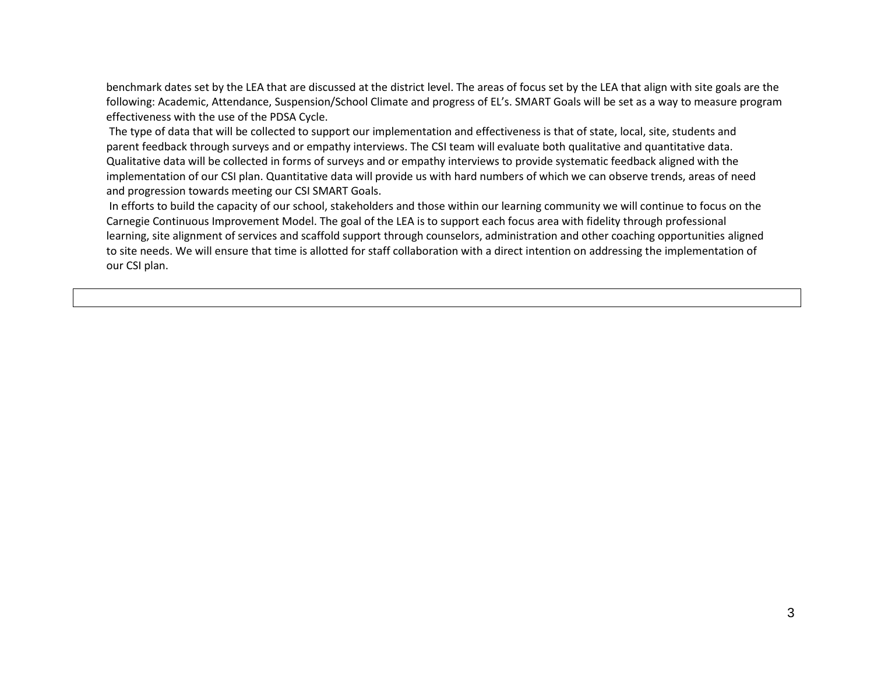benchmark dates set by the LEA that are discussed at the district level. The areas of focus set by the LEA that align with site goals are the following: Academic, Attendance, Suspension/School Climate and progress of EL's. SMART Goals will be set as a way to measure program effectiveness with the use of the PDSA Cycle.

The type of data that will be collected to support our implementation and effectiveness is that of state, local, site, students and parent feedback through surveys and or empathy interviews. The CSI team will evaluate both qualitative and quantitative data. Qualitative data will be collected in forms of surveys and or empathy interviews to provide systematic feedback aligned with the implementation of our CSI plan. Quantitative data will provide us with hard numbers of which we can observe trends, areas of need and progression towards meeting our CSI SMART Goals.

In efforts to build the capacity of our school, stakeholders and those within our learning community we will continue to focus on the Carnegie Continuous Improvement Model. The goal of the LEA is to support each focus area with fidelity through professional learning, site alignment of services and scaffold support through counselors, administration and other coaching opportunities aligned to site needs. We will ensure that time is allotted for staff collaboration with a direct intention on addressing the implementation of our CSI plan.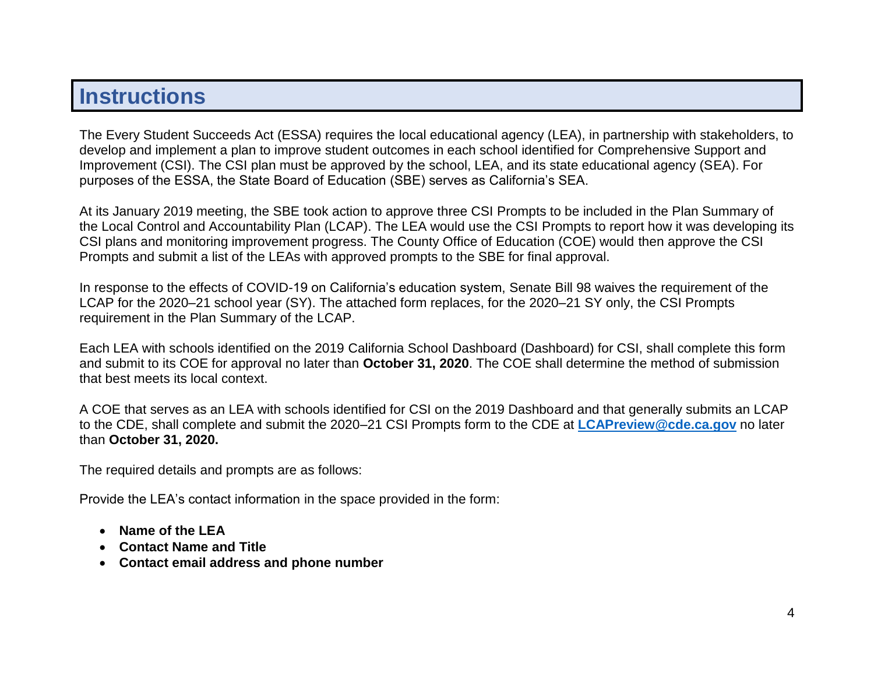# **Instructions**

The Every Student Succeeds Act (ESSA) requires the local educational agency (LEA), in partnership with stakeholders, to develop and implement a plan to improve student outcomes in each school identified for Comprehensive Support and Improvement (CSI). The CSI plan must be approved by the school, LEA, and its state educational agency (SEA). For purposes of the ESSA, the State Board of Education (SBE) serves as California's SEA.

At its January 2019 meeting, the SBE took action to approve three CSI Prompts to be included in the Plan Summary of the Local Control and Accountability Plan (LCAP). The LEA would use the CSI Prompts to report how it was developing its CSI plans and monitoring improvement progress. The County Office of Education (COE) would then approve the CSI Prompts and submit a list of the LEAs with approved prompts to the SBE for final approval.

In response to the effects of COVID-19 on California's education system, Senate Bill 98 waives the requirement of the LCAP for the 2020–21 school year (SY). The attached form replaces, for the 2020–21 SY only, the CSI Prompts requirement in the Plan Summary of the LCAP.

Each LEA with schools identified on the 2019 California School Dashboard (Dashboard) for CSI, shall complete this form and submit to its COE for approval no later than **October 31, 2020**. The COE shall determine the method of submission that best meets its local context.

A COE that serves as an LEA with schools identified for CSI on the 2019 Dashboard and that generally submits an LCAP to the CDE, shall complete and submit the 2020–21 CSI Prompts form to the CDE at **[LCAPreview@cde.ca.gov](mailto:LCAPreview@cde.ca.gov)** no later than **October 31, 2020.** 

The required details and prompts are as follows:

Provide the LEA's contact information in the space provided in the form:

- **Name of the LEA**
- **Contact Name and Title**
- **Contact email address and phone number**